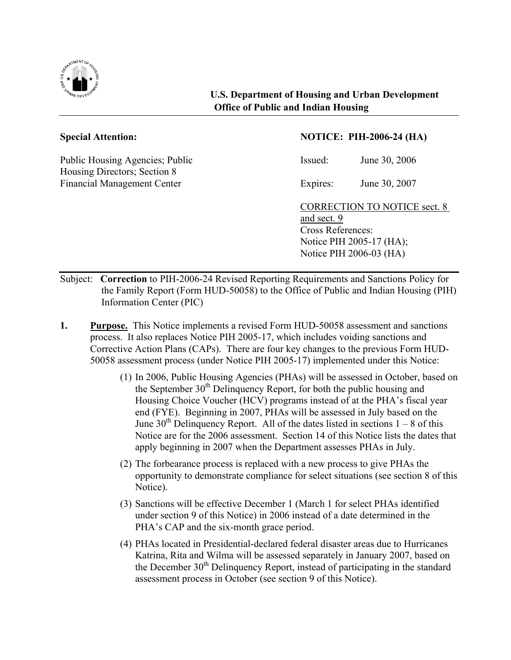

Public Housing Agencies; Public Issued: June 30, 2006 Housing Directors; Section 8 Financial Management Center Expires: June 30, 2007

## **Special Attention: NOTICE: PIH-2006-24 (HA)**

CORRECTION TO NOTICE sect. 8 and sect. 9 Cross References: Notice PIH 2005-17 (HA); Notice PIH 2006-03 (HA)

- Subject: **Correction** to PIH-2006-24 Revised Reporting Requirements and Sanctions Policy for the Family Report (Form HUD-50058) to the Office of Public and Indian Housing (PIH) Information Center (PIC)
- **1. Purpose.** This Notice implements a revised Form HUD-50058 assessment and sanctions process. It also replaces Notice PIH 2005-17, which includes voiding sanctions and Corrective Action Plans (CAPs). There are four key changes to the previous Form HUD-50058 assessment process (under Notice PIH 2005-17) implemented under this Notice:
	- (1) In 2006, Public Housing Agencies (PHAs) will be assessed in October, based on the September  $30<sup>th</sup>$  Delinquency Report, for both the public housing and Housing Choice Voucher (HCV) programs instead of at the PHA's fiscal year end (FYE). Beginning in 2007, PHAs will be assessed in July based on the June  $30<sup>th</sup>$  Delinquency Report. All of the dates listed in sections  $1 - 8$  of this Notice are for the 2006 assessment. Section 14 of this Notice lists the dates that apply beginning in 2007 when the Department assesses PHAs in July.
	- (2) The forbearance process is replaced with a new process to give PHAs the opportunity to demonstrate compliance for select situations (see section 8 of this Notice).
	- (3) Sanctions will be effective December 1 (March 1 for select PHAs identified under section 9 of this Notice) in 2006 instead of a date determined in the PHA's CAP and the six-month grace period.
	- (4) PHAs located in Presidential-declared federal disaster areas due to Hurricanes Katrina, Rita and Wilma will be assessed separately in January 2007, based on the December 30<sup>th</sup> Delinquency Report, instead of participating in the standard assessment process in October (see section 9 of this Notice).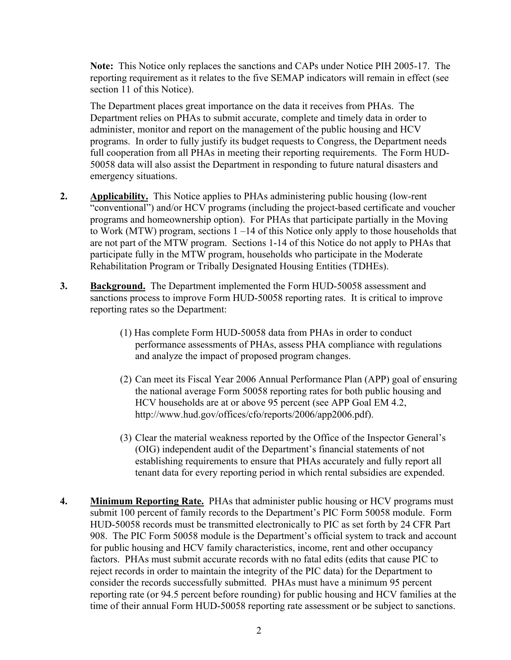**Note:** This Notice only replaces the sanctions and CAPs under Notice PIH 2005-17. The reporting requirement as it relates to the five SEMAP indicators will remain in effect (see section 11 of this Notice).

The Department places great importance on the data it receives from PHAs. The Department relies on PHAs to submit accurate, complete and timely data in order to administer, monitor and report on the management of the public housing and HCV programs. In order to fully justify its budget requests to Congress, the Department needs full cooperation from all PHAs in meeting their reporting requirements. The Form HUD-50058 data will also assist the Department in responding to future natural disasters and emergency situations.

- **2. Applicability.** This Notice applies to PHAs administering public housing (low-rent "conventional") and/or HCV programs (including the project-based certificate and voucher programs and homeownership option). For PHAs that participate partially in the Moving to Work (MTW) program, sections 1 –14 of this Notice only apply to those households that are not part of the MTW program. Sections 1-14 of this Notice do not apply to PHAs that participate fully in the MTW program, households who participate in the Moderate Rehabilitation Program or Tribally Designated Housing Entities (TDHEs).
- **3. Background.** The Department implemented the Form HUD-50058 assessment and sanctions process to improve Form HUD-50058 reporting rates. It is critical to improve reporting rates so the Department:
	- (1) Has complete Form HUD-50058 data from PHAs in order to conduct performance assessments of PHAs, assess PHA compliance with regulations and analyze the impact of proposed program changes.
	- (2) Can meet its Fiscal Year 2006 Annual Performance Plan (APP) goal of ensuring the national average Form 50058 reporting rates for both public housing and HCV households are at or above 95 percent (see APP Goal EM 4.2, http://www.hud.gov/offices/cfo/reports/2006/app2006.pdf).
	- (3) Clear the material weakness reported by the Office of the Inspector General's (OIG) independent audit of the Department's financial statements of not establishing requirements to ensure that PHAs accurately and fully report all tenant data for every reporting period in which rental subsidies are expended.
- **4. Minimum Reporting Rate.** PHAs that administer public housing or HCV programs must submit 100 percent of family records to the Department's PIC Form 50058 module. Form HUD-50058 records must be transmitted electronically to PIC as set forth by 24 CFR Part 908. The PIC Form 50058 module is the Department's official system to track and account for public housing and HCV family characteristics, income, rent and other occupancy factors. PHAs must submit accurate records with no fatal edits (edits that cause PIC to reject records in order to maintain the integrity of the PIC data) for the Department to consider the records successfully submitted. PHAs must have a minimum 95 percent reporting rate (or 94.5 percent before rounding) for public housing and HCV families at the time of their annual Form HUD-50058 reporting rate assessment or be subject to sanctions.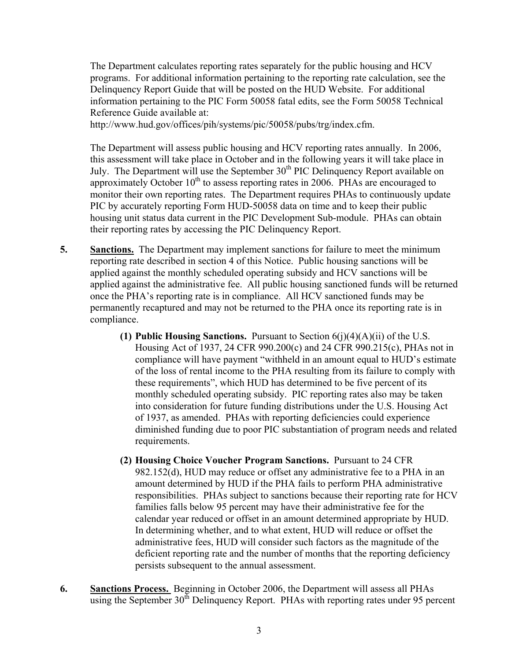The Department calculates reporting rates separately for the public housing and HCV programs. For additional information pertaining to the reporting rate calculation, see the Delinquency Report Guide that will be posted on the HUD Website. For additional information pertaining to the PIC Form 50058 fatal edits, see the Form 50058 Technical Reference Guide available at:

http://www.hud.gov/offices/pih/systems/pic/50058/pubs/trg/index.cfm.

The Department will assess public housing and HCV reporting rates annually. In 2006, this assessment will take place in October and in the following years it will take place in July. The Department will use the September  $30<sup>th</sup>$  PIC Delinquency Report available on approximately October  $10<sup>th</sup>$  to assess reporting rates in 2006. PHAs are encouraged to monitor their own reporting rates. The Department requires PHAs to continuously update PIC by accurately reporting Form HUD-50058 data on time and to keep their public housing unit status data current in the PIC Development Sub-module. PHAs can obtain their reporting rates by accessing the PIC Delinquency Report.

- **5. Sanctions.** The Department may implement sanctions for failure to meet the minimum reporting rate described in section 4 of this Notice. Public housing sanctions will be applied against the monthly scheduled operating subsidy and HCV sanctions will be applied against the administrative fee. All public housing sanctioned funds will be returned once the PHA's reporting rate is in compliance. All HCV sanctioned funds may be permanently recaptured and may not be returned to the PHA once its reporting rate is in compliance.
	- **(1) Public Housing Sanctions.** Pursuant to Section 6(j)(4)(A)(ii) of the U.S. Housing Act of 1937, 24 CFR 990.200(c) and 24 CFR 990.215(c), PHAs not in compliance will have payment "withheld in an amount equal to HUD's estimate of the loss of rental income to the PHA resulting from its failure to comply with these requirements", which HUD has determined to be five percent of its monthly scheduled operating subsidy. PIC reporting rates also may be taken into consideration for future funding distributions under the U.S. Housing Act of 1937, as amended. PHAs with reporting deficiencies could experience diminished funding due to poor PIC substantiation of program needs and related requirements.
	- **(2) Housing Choice Voucher Program Sanctions.** Pursuant to 24 CFR 982.152(d), HUD may reduce or offset any administrative fee to a PHA in an amount determined by HUD if the PHA fails to perform PHA administrative responsibilities. PHAs subject to sanctions because their reporting rate for HCV families falls below 95 percent may have their administrative fee for the calendar year reduced or offset in an amount determined appropriate by HUD. In determining whether, and to what extent, HUD will reduce or offset the administrative fees, HUD will consider such factors as the magnitude of the deficient reporting rate and the number of months that the reporting deficiency persists subsequent to the annual assessment.
- **6. Sanctions Process.** Beginning in October 2006, the Department will assess all PHAs using the September 30<sup>th</sup> Delinquency Report. PHAs with reporting rates under 95 percent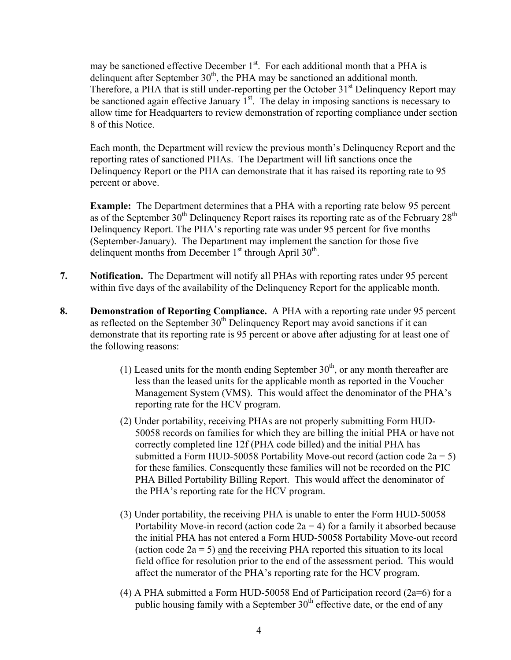may be sanctioned effective December  $1<sup>st</sup>$ . For each additional month that a PHA is delinquent after September  $30<sup>th</sup>$ , the PHA may be sanctioned an additional month. Therefore, a PHA that is still under-reporting per the October  $31<sup>st</sup>$  Delinquency Report may be sanctioned again effective January  $1<sup>st</sup>$ . The delay in imposing sanctions is necessary to allow time for Headquarters to review demonstration of reporting compliance under section 8 of this Notice.

Each month, the Department will review the previous month's Delinquency Report and the reporting rates of sanctioned PHAs. The Department will lift sanctions once the Delinquency Report or the PHA can demonstrate that it has raised its reporting rate to 95 percent or above.

**Example:** The Department determines that a PHA with a reporting rate below 95 percent as of the September  $30<sup>th</sup>$  Delinquency Report raises its reporting rate as of the February  $28<sup>th</sup>$ Delinquency Report. The PHA's reporting rate was under 95 percent for five months (September-January). The Department may implement the sanction for those five delinquent months from December  $1<sup>st</sup>$  through April  $30<sup>th</sup>$ .

- **7. Notification.** The Department will notify all PHAs with reporting rates under 95 percent within five days of the availability of the Delinquency Report for the applicable month.
- **8. Demonstration of Reporting Compliance.** A PHA with a reporting rate under 95 percent as reflected on the September  $30<sup>th</sup>$  Delinquency Report may avoid sanctions if it can demonstrate that its reporting rate is 95 percent or above after adjusting for at least one of the following reasons:
	- (1) Leased units for the month ending September  $30<sup>th</sup>$ , or any month thereafter are less than the leased units for the applicable month as reported in the Voucher Management System (VMS). This would affect the denominator of the PHA's reporting rate for the HCV program.
	- (2) Under portability, receiving PHAs are not properly submitting Form HUD-50058 records on families for which they are billing the initial PHA or have not correctly completed line 12f (PHA code billed) and the initial PHA has submitted a Form HUD-50058 Portability Move-out record (action code  $2a = 5$ ) for these families. Consequently these families will not be recorded on the PIC PHA Billed Portability Billing Report. This would affect the denominator of the PHA's reporting rate for the HCV program.
	- (3) Under portability, the receiving PHA is unable to enter the Form HUD-50058 Portability Move-in record (action code  $2a = 4$ ) for a family it absorbed because the initial PHA has not entered a Form HUD-50058 Portability Move-out record (action code  $2a = 5$ ) and the receiving PHA reported this situation to its local field office for resolution prior to the end of the assessment period. This would affect the numerator of the PHA's reporting rate for the HCV program.
	- (4) A PHA submitted a Form HUD-50058 End of Participation record  $(2a=6)$  for a public housing family with a September  $30<sup>th</sup>$  effective date, or the end of any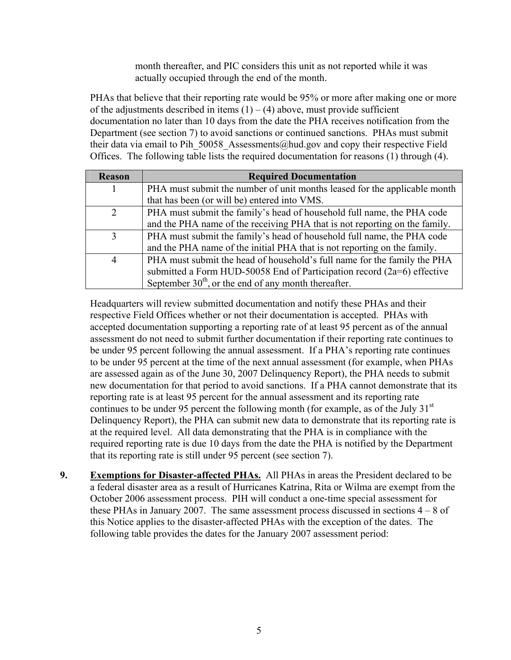month thereafter, and PIC considers this unit as not reported while it was actually occupied through the end of the month.

PHAs that believe that their reporting rate would be 95% or more after making one or more of the adjustments described in items  $(1) - (4)$  above, must provide sufficient documentation no later than 10 days from the date the PHA receives notification from the Department (see section 7) to avoid sanctions or continued sanctions. PHAs must submit their data via email to Pih 50058 Assessments@hud.gov and copy their respective Field Offices. The following table lists the required documentation for reasons (1) through (4).

| <b>Reason</b> | <b>Required Documentation</b>                                              |
|---------------|----------------------------------------------------------------------------|
|               | PHA must submit the number of unit months leased for the applicable month  |
|               | that has been (or will be) entered into VMS.                               |
| 2             | PHA must submit the family's head of household full name, the PHA code     |
|               | and the PHA name of the receiving PHA that is not reporting on the family. |
| 3             | PHA must submit the family's head of household full name, the PHA code     |
|               | and the PHA name of the initial PHA that is not reporting on the family.   |
| 4             | PHA must submit the head of household's full name for the family the PHA   |
|               | submitted a Form HUD-50058 End of Participation record $(2a=6)$ effective  |
|               | September $30th$ , or the end of any month thereafter.                     |

Headquarters will review submitted documentation and notify these PHAs and their respective Field Offices whether or not their documentation is accepted. PHAs with accepted documentation supporting a reporting rate of at least 95 percent as of the annual assessment do not need to submit further documentation if their reporting rate continues to be under 95 percent following the annual assessment. If a PHA's reporting rate continues to be under 95 percent at the time of the next annual assessment (for example, when PHAs are assessed again as of the June 30, 2007 Delinquency Report), the PHA needs to submit new documentation for that period to avoid sanctions. If a PHA cannot demonstrate that its reporting rate is at least 95 percent for the annual assessment and its reporting rate continues to be under 95 percent the following month (for example, as of the July  $31<sup>st</sup>$ Delinquency Report), the PHA can submit new data to demonstrate that its reporting rate is at the required level. All data demonstrating that the PHA is in compliance with the required reporting rate is due 10 days from the date the PHA is notified by the Department that its reporting rate is still under 95 percent (see section 7).

**9.** Exemptions for Disaster-affected PHAs. All PHAs in areas the President declared to be a federal disaster area as a result of Hurricanes Katrina, Rita or Wilma are exempt from the October 2006 assessment process. PIH will conduct a one-time special assessment for these PHAs in January 2007. The same assessment process discussed in sections 4 – 8 of this Notice applies to the disaster-affected PHAs with the exception of the dates. The following table provides the dates for the January 2007 assessment period: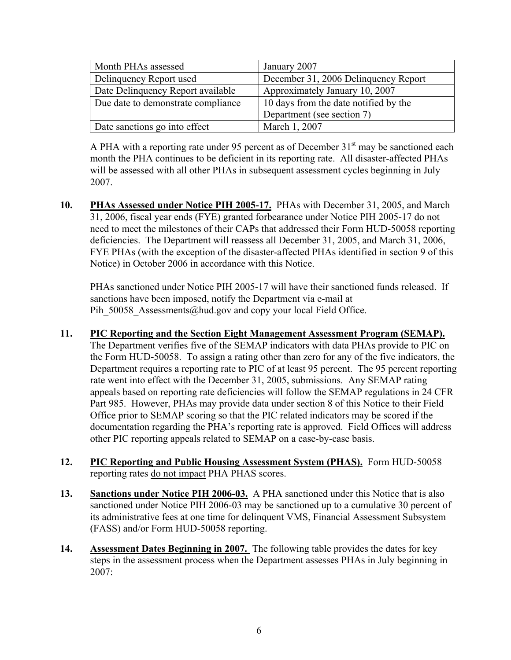| Month PHAs assessed                | January 2007                          |
|------------------------------------|---------------------------------------|
| Delinquency Report used            | December 31, 2006 Delinquency Report  |
| Date Delinquency Report available  | Approximately January 10, 2007        |
| Due date to demonstrate compliance | 10 days from the date notified by the |
|                                    | Department (see section 7)            |
| Date sanctions go into effect      | March 1, 2007                         |

A PHA with a reporting rate under 95 percent as of December  $31<sup>st</sup>$  may be sanctioned each month the PHA continues to be deficient in its reporting rate. All disaster-affected PHAs will be assessed with all other PHAs in subsequent assessment cycles beginning in July 2007.

**10. PHAs Assessed under Notice PIH 2005-17.** PHAs with December 31, 2005, and March 31, 2006, fiscal year ends (FYE) granted forbearance under Notice PIH 2005-17 do not need to meet the milestones of their CAPs that addressed their Form HUD-50058 reporting deficiencies. The Department will reassess all December 31, 2005, and March 31, 2006, FYE PHAs (with the exception of the disaster-affected PHAs identified in section 9 of this Notice) in October 2006 in accordance with this Notice.

PHAs sanctioned under Notice PIH 2005-17 will have their sanctioned funds released. If sanctions have been imposed, notify the Department via e-mail at Pih 50058 Assessments@hud.gov and copy your local Field Office.

## **11. PIC Reporting and the Section Eight Management Assessment Program (SEMAP).**

The Department verifies five of the SEMAP indicators with data PHAs provide to PIC on the Form HUD-50058. To assign a rating other than zero for any of the five indicators, the Department requires a reporting rate to PIC of at least 95 percent. The 95 percent reporting rate went into effect with the December 31, 2005, submissions. Any SEMAP rating appeals based on reporting rate deficiencies will follow the SEMAP regulations in 24 CFR Part 985. However, PHAs may provide data under section 8 of this Notice to their Field Office prior to SEMAP scoring so that the PIC related indicators may be scored if the documentation regarding the PHA's reporting rate is approved. Field Offices will address other PIC reporting appeals related to SEMAP on a case-by-case basis.

- **12. PIC Reporting and Public Housing Assessment System (PHAS).** Form HUD-50058 reporting rates do not impact PHA PHAS scores.
- **13. Sanctions under Notice PIH 2006-03.** A PHA sanctioned under this Notice that is also sanctioned under Notice PIH 2006-03 may be sanctioned up to a cumulative 30 percent of its administrative fees at one time for delinquent VMS, Financial Assessment Subsystem (FASS) and/or Form HUD-50058 reporting.
- **14. Assessment Dates Beginning in 2007.** The following table provides the dates for key steps in the assessment process when the Department assesses PHAs in July beginning in 2007: